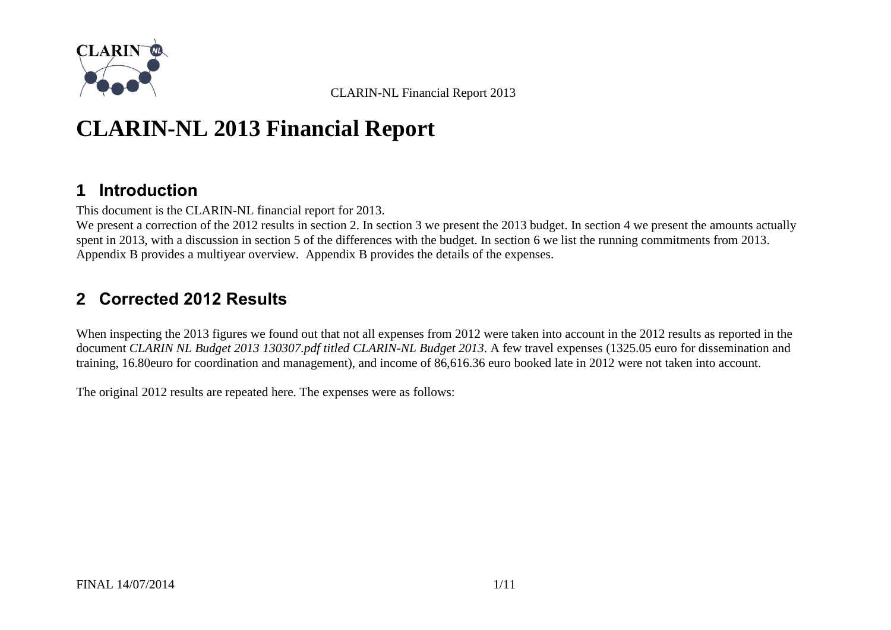

# **CLARIN-NL 2013 Financial Report**

# **1 Introduction**

This document is the CLARIN-NL financial report for 2013.

We present a correction of the 2012 results in section [2.](#page-0-0) In section [3](#page-3-0) we present the 2013 budget. In section [4](#page-4-0) we present the amounts actually spent in 2013, with a discussion in section [5](#page-5-0) of the differences with the budget. In section [6](#page-7-0) we list the running commitments from 2013. [Appendix B](#page-10-0) provides a multiyear overview. [Appendix B](#page-10-0) provides the details of the expenses.

# <span id="page-0-0"></span>**2 Corrected 2012 Results**

When inspecting the 2013 figures we found out that not all expenses from 2012 were taken into account in the 2012 results as reported in the document *CLARIN NL Budget 2013 130307.pdf titled CLARIN-NL Budget 2013*. A few travel expenses (1325.05 euro for dissemination and training, 16.80euro for coordination and management), and income of 86,616.36 euro booked late in 2012 were not taken into account.

The original 2012 results are repeated here. The expenses were as follows: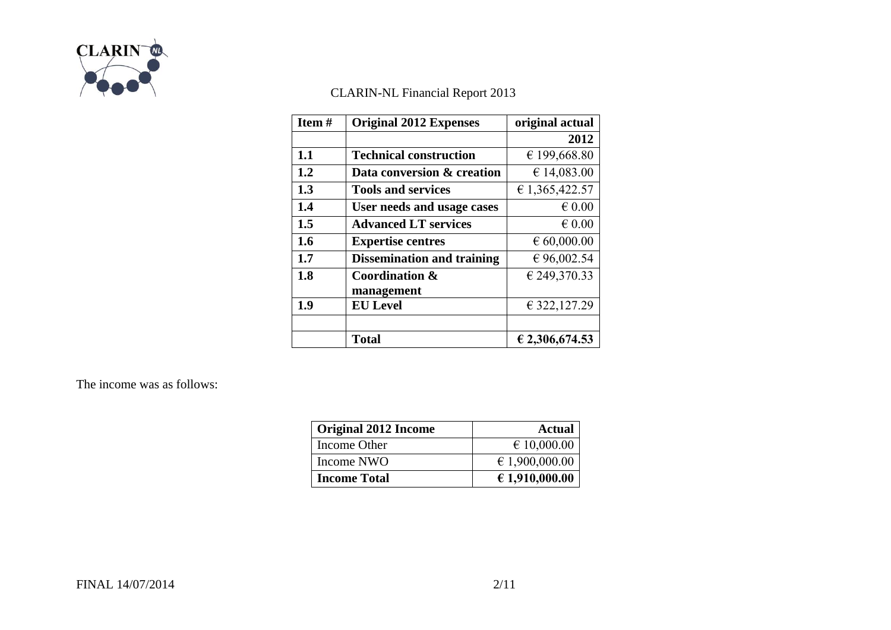

| Item# | <b>Original 2012 Expenses</b>     | original actual      |  |  |
|-------|-----------------------------------|----------------------|--|--|
|       |                                   | 2012                 |  |  |
| 1.1   | <b>Technical construction</b>     | € 199,668.80         |  |  |
| 1.2   | Data conversion & creation        | € 14,083.00          |  |  |
| 1.3   | <b>Tools and services</b>         | € 1,365,422.57       |  |  |
| 1.4   | User needs and usage cases        | $\epsilon$ 0.00      |  |  |
| 1.5   | <b>Advanced LT services</b>       | $\epsilon$ 0.00      |  |  |
| 1.6   | <b>Expertise centres</b>          | $\epsilon$ 60,000.00 |  |  |
| 1.7   | <b>Dissemination and training</b> | € 96,002.54          |  |  |
| 1.8   | <b>Coordination &amp;</b>         | € 249,370.33         |  |  |
|       | management                        |                      |  |  |
| 1.9   | <b>EU Level</b>                   | € 322, 127.29        |  |  |
|       |                                   |                      |  |  |
|       | <b>Total</b>                      | € 2,306,674.53       |  |  |

The income was as follows:

| <b>Original 2012 Income</b> | Actual               |
|-----------------------------|----------------------|
| Income Other                | $\epsilon$ 10,000.00 |
| Income NWO                  | € 1,900,000.00       |
| <b>Income Total</b>         | € 1,910,000.00       |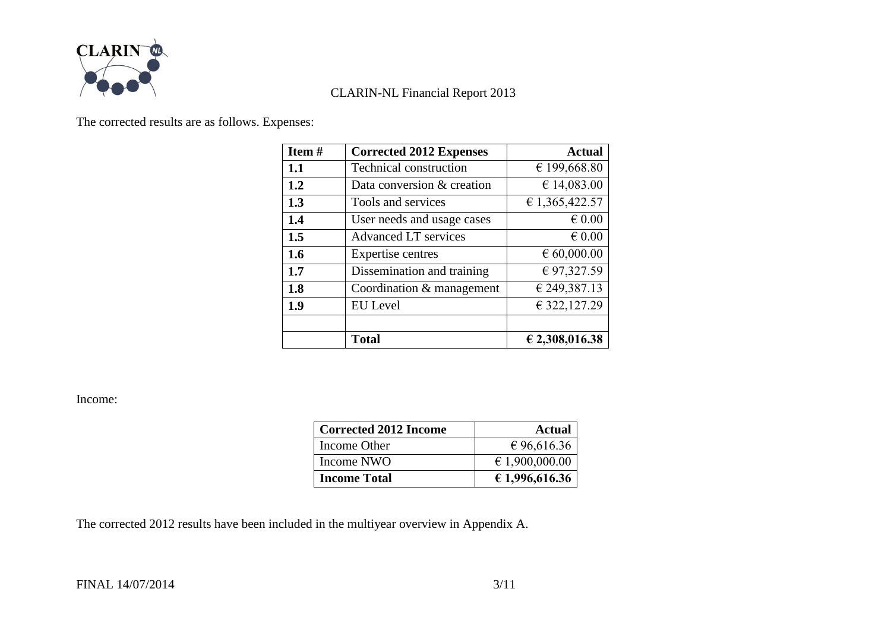

The corrected results are as follows. Expenses:

| Item# | <b>Corrected 2012 Expenses</b> | <b>Actual</b>        |
|-------|--------------------------------|----------------------|
| 1.1   | <b>Technical construction</b>  | € 199,668.80         |
| 1.2   | Data conversion & creation     | € 14,083.00          |
| 1.3   | Tools and services             | € 1,365,422.57       |
| 1.4   | User needs and usage cases     | $\epsilon$ 0.00      |
| 1.5   | Advanced LT services           | $\epsilon$ 0.00      |
| 1.6   | Expertise centres              | $\epsilon$ 60,000.00 |
| 1.7   | Dissemination and training     | € 97,327.59          |
| 1.8   | Coordination & management      | € 249,387.13         |
| 1.9   | <b>EU</b> Level                | € 322,127.29         |
|       |                                |                      |
|       | <b>Total</b>                   | € 2,308,016.38       |

Income:

| <b>Corrected 2012 Income</b> | <b>Actual</b>  |  |  |
|------------------------------|----------------|--|--|
| Income Other                 | € 96,616.36    |  |  |
| Income NWO                   | € 1,900,000.00 |  |  |
| <b>Income Total</b>          | € 1,996,616.36 |  |  |

The corrected 2012 results have been included in the multiyear overview in [Appendix A.](#page-9-0)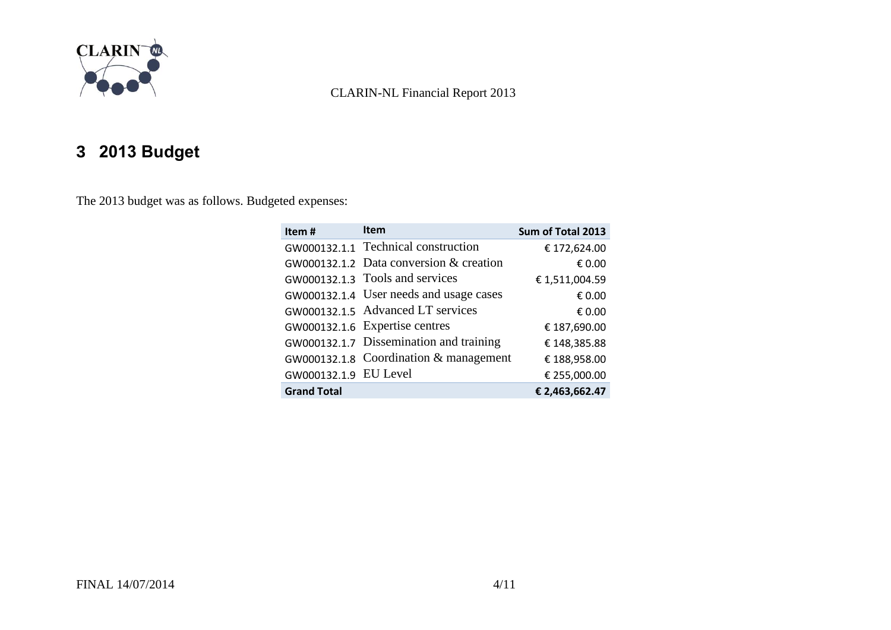

# <span id="page-3-0"></span>**3 2013 Budget**

The 2013 budget was as follows. Budgeted expenses:

| Item#                 | <b>Item</b>                               | Sum of Total 2013 |
|-----------------------|-------------------------------------------|-------------------|
|                       | GW000132.1.1 Technical construction       | € 172,624.00      |
|                       | GW000132.1.2 Data conversion $&$ creation | € 0.00            |
|                       | GW000132.1.3 Tools and services           | €1,511,004.59     |
|                       | GW000132.1.4 User needs and usage cases   | € 0.00            |
|                       | GW000132.1.5 Advanced LT services         | € 0.00            |
|                       | GW000132.1.6 Expertise centres            | € 187,690.00      |
|                       | GW000132.1.7 Dissemination and training   | € 148,385.88      |
|                       | GW000132.1.8 Coordination $&$ management  | €188,958.00       |
| GW000132.1.9 EU Level |                                           | € 255,000.00      |
| <b>Grand Total</b>    |                                           | € 2,463,662.47    |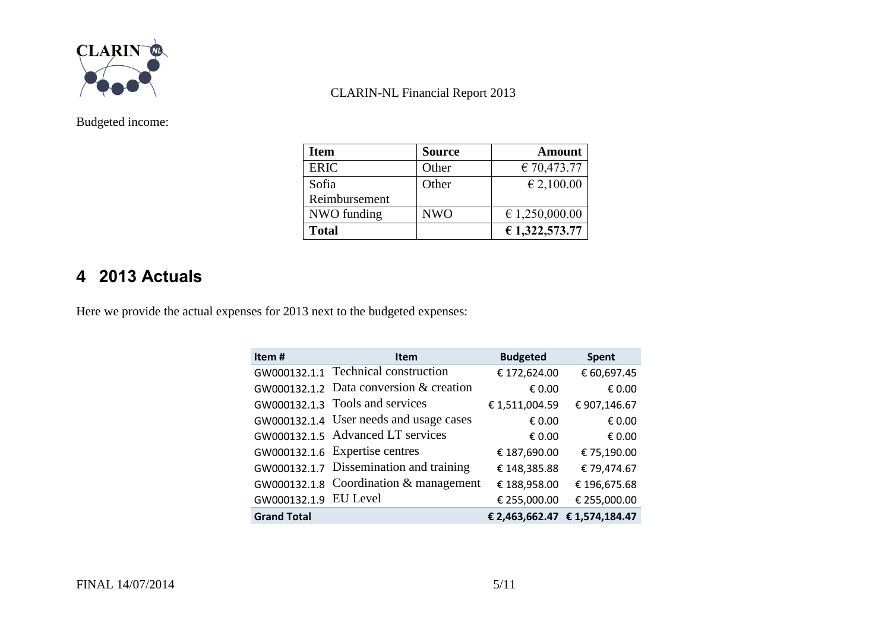

Budgeted income:

| Item          | <b>Source</b> | <b>Amount</b>  |
|---------------|---------------|----------------|
| <b>ERIC</b>   | Other         | € 70,473.77    |
| Sofia         | Other         | € 2,100.00     |
| Reimbursement |               |                |
| NWO funding   | <b>NWO</b>    | € 1,250,000.00 |
| <b>Total</b>  |               | € 1,322,573.77 |

# <span id="page-4-0"></span>**4 2013 Actuals**

Here we provide the actual expenses for 2013 next to the budgeted expenses:

| Item#                 | <b>Item</b>                               | <b>Budgeted</b> | <b>Spent</b>                  |
|-----------------------|-------------------------------------------|-----------------|-------------------------------|
|                       | GW000132.1.1 Technical construction       | € 172,624.00    | € 60,697.45                   |
|                       | GW000132.1.2 Data conversion $&$ creation | € 0.00          | € 0.00                        |
|                       | GW000132.1.3 Tools and services           | €1,511,004.59   | € 907,146.67                  |
|                       | GW000132.1.4 User needs and usage cases   | € 0.00          | € 0.00                        |
|                       | GW000132.1.5 Advanced LT services         | € 0.00          | € 0.00                        |
|                       | GW000132.1.6 Expertise centres            | € 187,690.00    | € 75,190.00                   |
|                       | GW000132.1.7 Dissemination and training   | € 148,385.88    | € 79,474.67                   |
|                       | GW000132.1.8 Coordination & management    | € 188,958.00    | €196,675.68                   |
| GW000132.1.9 EU Level |                                           | € 255,000.00    | € 255,000.00                  |
| <b>Grand Total</b>    |                                           |                 | € 2,463,662.47 € 1,574,184.47 |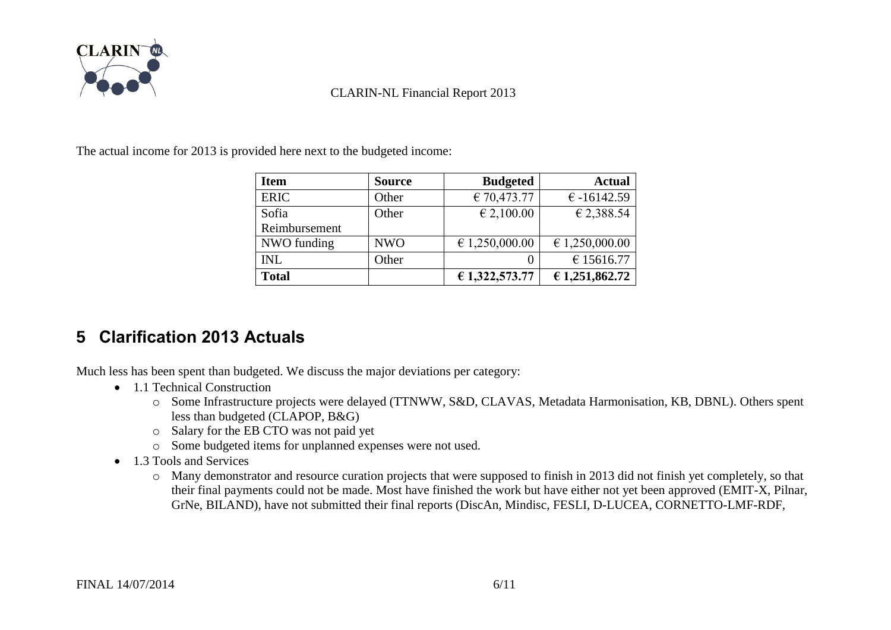

The actual income for 2013 is provided here next to the budgeted income:

| <b>Item</b>   | <b>Source</b> | <b>Budgeted</b>         | <b>Actual</b>  |
|---------------|---------------|-------------------------|----------------|
| <b>ERIC</b>   | Other         | € 70,473.77             | $€ -16142.59$  |
| Sofia         | Other         | € 2,100.00              | € 2,388.54     |
| Reimbursement |               |                         |                |
| NWO funding   | <b>NWO</b>    | $\epsilon$ 1,250,000.00 | € 1,250,000.00 |
| <b>INL</b>    | Other         |                         | € 15616.77     |
| <b>Total</b>  |               | € 1,322,573.77          | € 1,251,862.72 |

# <span id="page-5-0"></span>**5 Clarification 2013 Actuals**

Much less has been spent than budgeted. We discuss the major deviations per category:

- 1.1 Technical Construction
	- o Some Infrastructure projects were delayed (TTNWW, S&D, CLAVAS, Metadata Harmonisation, KB, DBNL). Others spent less than budgeted (CLAPOP, B&G)
	- o Salary for the EB CTO was not paid yet
	- o Some budgeted items for unplanned expenses were not used.
- 1.3 Tools and Services
	- o Many demonstrator and resource curation projects that were supposed to finish in 2013 did not finish yet completely, so that their final payments could not be made. Most have finished the work but have either not yet been approved (EMIT-X, Pilnar, GrNe, BILAND), have not submitted their final reports (DiscAn, Mindisc, FESLI, D-LUCEA, CORNETTO-LMF-RDF,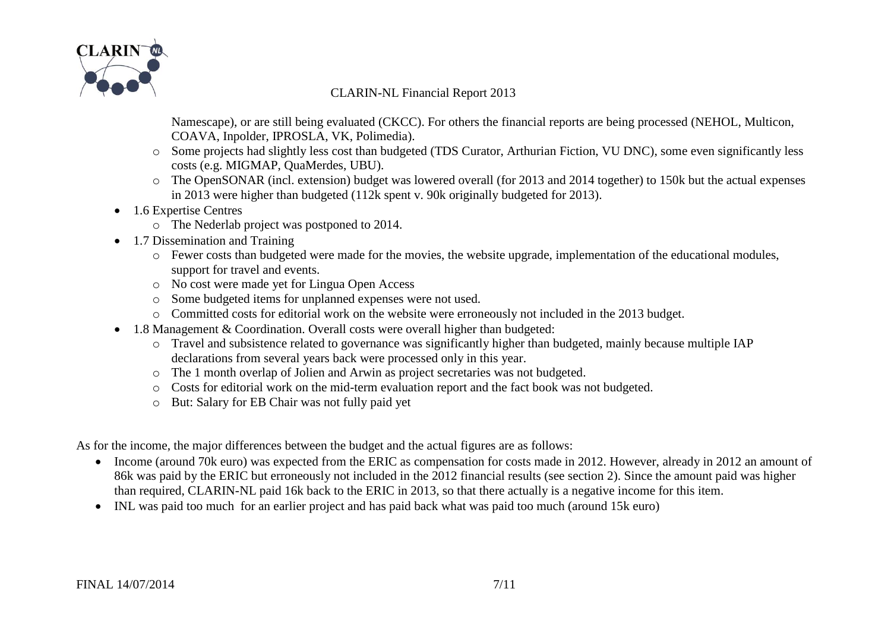

Namescape), or are still being evaluated (CKCC). For others the financial reports are being processed (NEHOL, Multicon, COAVA, Inpolder, IPROSLA, VK, Polimedia).

- o Some projects had slightly less cost than budgeted (TDS Curator, Arthurian Fiction, VU DNC), some even significantly less costs (e.g. MIGMAP, QuaMerdes, UBU).
- o The OpenSONAR (incl. extension) budget was lowered overall (for 2013 and 2014 together) to 150k but the actual expenses in 2013 were higher than budgeted (112k spent v. 90k originally budgeted for 2013).
- 1.6 Expertise Centres
	- o The Nederlab project was postponed to 2014.
- 1.7 Dissemination and Training
	- o Fewer costs than budgeted were made for the movies, the website upgrade, implementation of the educational modules, support for travel and events.
	- o No cost were made yet for Lingua Open Access
	- o Some budgeted items for unplanned expenses were not used.
	- o Committed costs for editorial work on the website were erroneously not included in the 2013 budget.
- 1.8 Management & Coordination. Overall costs were overall higher than budgeted:
	- o Travel and subsistence related to governance was significantly higher than budgeted, mainly because multiple IAP declarations from several years back were processed only in this year.
	- o The 1 month overlap of Jolien and Arwin as project secretaries was not budgeted.
	- o Costs for editorial work on the mid-term evaluation report and the fact book was not budgeted.
	- o But: Salary for EB Chair was not fully paid yet

As for the income, the major differences between the budget and the actual figures are as follows:

- Income (around 70k euro) was expected from the ERIC as compensation for costs made in 2012. However, already in 2012 an amount of 86k was paid by the ERIC but erroneously not included in the 2012 financial results (see section [2\)](#page-0-0). Since the amount paid was higher than required, CLARIN-NL paid 16k back to the ERIC in 2013, so that there actually is a negative income for this item.
- INL was paid too much for an earlier project and has paid back what was paid too much (around 15k euro)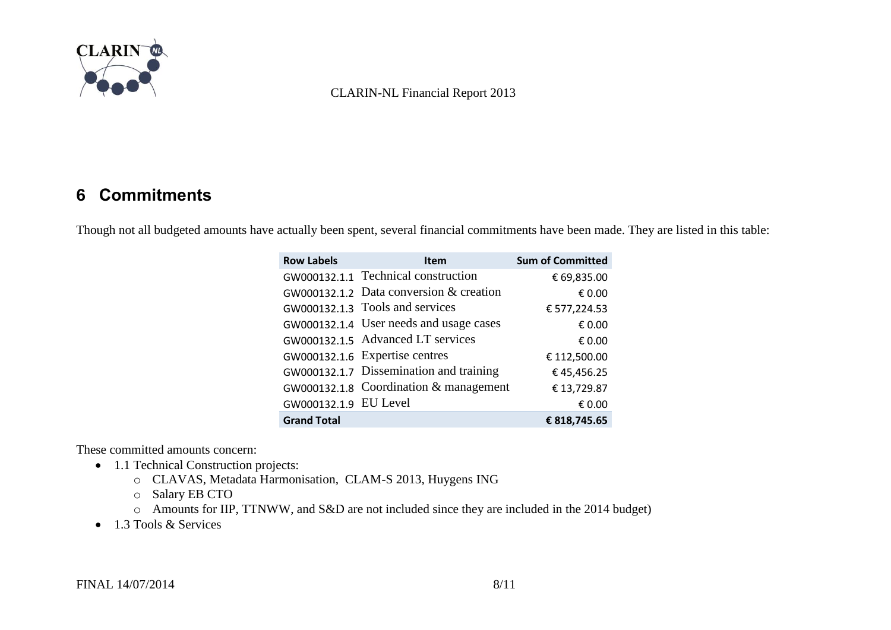

### <span id="page-7-0"></span>**6 Commitments**

Though not all budgeted amounts have actually been spent, several financial commitments have been made. They are listed in this table:

| <b>Row Labels</b>     | <b>Item</b>                             | <b>Sum of Committed</b> |
|-----------------------|-----------------------------------------|-------------------------|
|                       | GW000132.1.1 Technical construction     | € 69,835.00             |
|                       | GW000132.1.2 Data conversion & creation | € 0.00                  |
|                       | GW000132.1.3 Tools and services         | € 577,224.53            |
|                       | GW000132.1.4 User needs and usage cases | € 0.00                  |
|                       | GW000132.1.5 Advanced LT services       | € 0.00                  |
|                       | GW000132.1.6 Expertise centres          | € 112,500.00            |
|                       | GW000132.1.7 Dissemination and training | €45,456.25              |
|                       | GW000132.1.8 Coordination & management  | € 13,729.87             |
| GW000132.1.9 EU Level |                                         | € 0.00                  |
| <b>Grand Total</b>    |                                         | € 818,745.65            |

These committed amounts concern:

- 1.1 Technical Construction projects:
	- o CLAVAS, Metadata Harmonisation, CLAM-S 2013, Huygens ING
	- o Salary EB CTO
	- o Amounts for IIP, TTNWW, and S&D are not included since they are included in the 2014 budget)
- 1.3 Tools & Services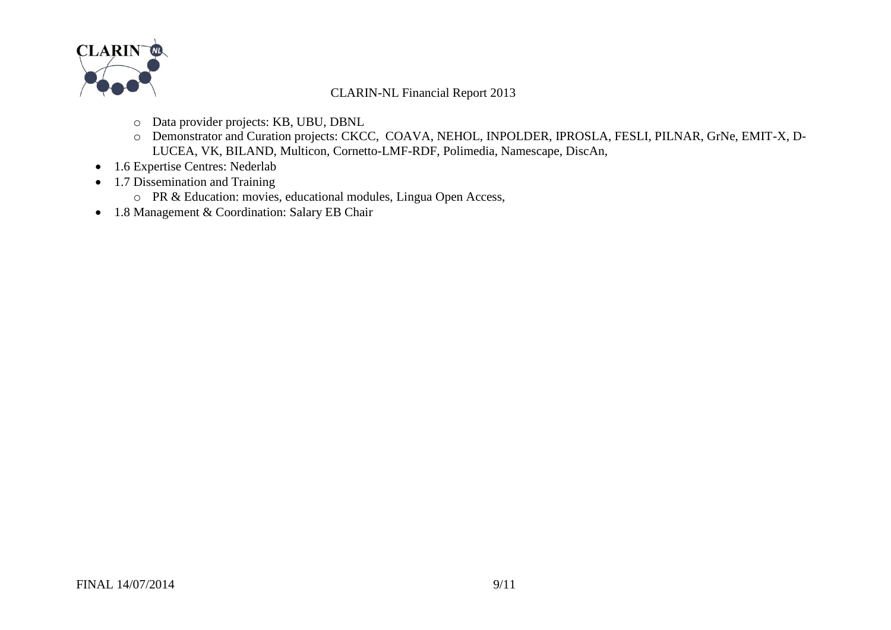

- o Data provider projects: KB, UBU, DBNL
- o Demonstrator and Curation projects: CKCC, COAVA, NEHOL, INPOLDER, IPROSLA, FESLI, PILNAR, GrNe, EMIT-X, D-LUCEA, VK, BILAND, Multicon, Cornetto-LMF-RDF, Polimedia, Namescape, DiscAn,
- 1.6 Expertise Centres: Nederlab
- 1.7 Dissemination and Training
	- o PR & Education: movies, educational modules, Lingua Open Access,
- 1.8 Management & Coordination: Salary EB Chair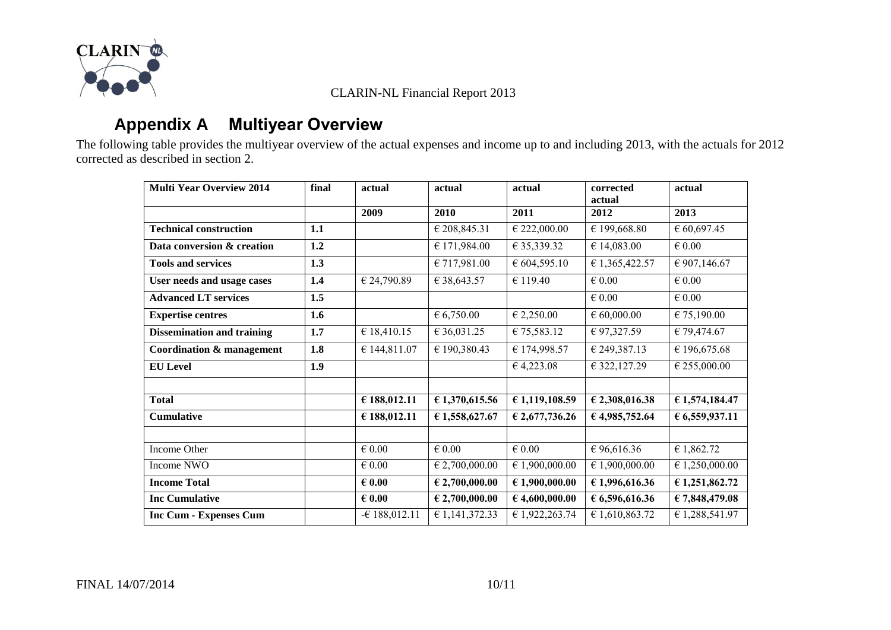

# **Appendix A Multiyear Overview**

<span id="page-9-0"></span>The following table provides the multiyear overview of the actual expenses and income up to and including 2013, with the actuals for 2012 corrected as described in section [2.](#page-0-0)

| <b>Multi Year Overview 2014</b>      | final | actual                     | actual             | actual                    | corrected<br>actual | actual          |
|--------------------------------------|-------|----------------------------|--------------------|---------------------------|---------------------|-----------------|
|                                      |       | 2009                       | 2010               | 2011                      | 2012                | 2013            |
| <b>Technical construction</b>        | 1.1   |                            | € 208,845.31       | € 222,000.00              | € 199,668.80        | € 60,697.45     |
| Data conversion & creation           | 1.2   |                            | € 171,984.00       | € 35,339.32               | € 14,083.00         | $\epsilon$ 0.00 |
| <b>Tools and services</b>            | 1.3   |                            | € 717,981.00       | € 604,595.10              | € 1,365,422.57      | € 907,146.67    |
| User needs and usage cases           | 1.4   | € 24,790.89                | € 38,643.57        | € 119.40                  | $\in 0.00$          | $\epsilon$ 0.00 |
| <b>Advanced LT services</b>          | 1.5   |                            |                    |                           | $\epsilon$ 0.00     | $\epsilon$ 0.00 |
| <b>Expertise centres</b>             | 1.6   |                            | 6,750.00           | € 2,250.00                | $\in 60,000.00$     | € 75,190.00     |
| <b>Dissemination and training</b>    | 1.7   | € 18,410.15                | € 36,031.25        | € 75,583.12               | € 97,327.59         | € 79,474.67     |
| <b>Coordination &amp; management</b> | 1.8   | € 144,811.07               | € 190,380.43       | € 174,998.57              | € 249,387.13        | € 196,675.68    |
| <b>EU</b> Level                      | 1.9   |                            |                    | € 4,223.08                | € 322, 127.29       | € 255,000.00    |
|                                      |       |                            |                    |                           |                     |                 |
| <b>Total</b>                         |       | € 188,012.11               | € 1,370,615.56     | € 1,119,108.59            | € 2,308,016.38      | € 1,574,184.47  |
| <b>Cumulative</b>                    |       | € 188,012.11               | € 1,558,627.67     | € 2,677,736.26            | € 4,985,752.64      | € 6,559,937.11  |
|                                      |       |                            |                    |                           |                     |                 |
| <b>Income Other</b>                  |       | $\overline{\epsilon}$ 0.00 | $\epsilon$ 0.00    | $\overline{\epsilon$ 0.00 | € 96,616.36         | E1,862.72       |
| Income NWO                           |       | $\epsilon$ 0.00            | $\in$ 2,700,000.00 | € 1,900,000.00            | € 1,900,000.00      | € 1,250,000.00  |
| <b>Income Total</b>                  |       | $\epsilon$ 0.00            | $E$ 2,700,000.00   | €1,900,000.00             | €1,996,616.36       | € 1,251,862.72  |
| <b>Inc Cumulative</b>                |       | $\epsilon$ 0.00            | $E$ 2,700,000.00   | €4,600,000.00             | 6,596,616.36        | € 7,848,479.08  |
| <b>Inc Cum - Expenses Cum</b>        |       | $-6188,012.11$             | € 1,141,372.33     | € 1,922,263.74            | € 1,610,863.72      | € 1,288,541.97  |